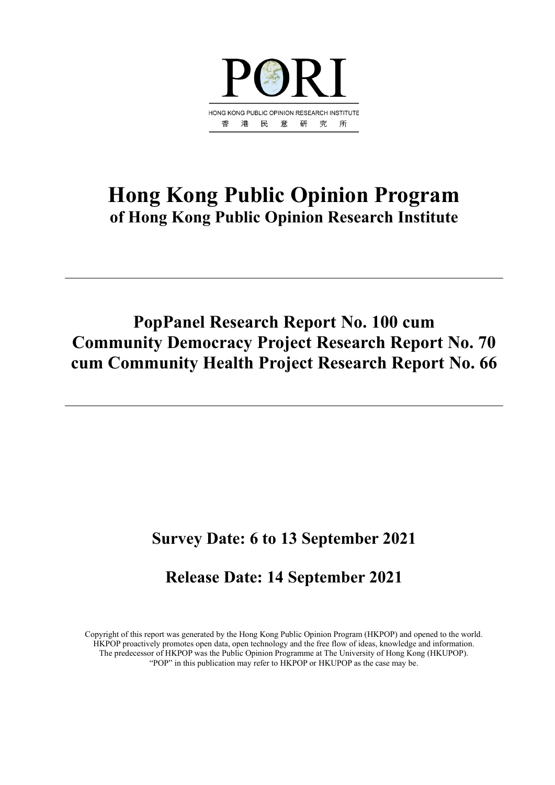

# **Hong Kong Public Opinion Program of Hong Kong Public Opinion Research Institute**

# **PopPanel Research Report No. 100 cum Community Democracy Project Research Report No. 70 cum Community Health Project Research Report No. 66**

# **Survey Date: 6 to 13 September 2021**

# **Release Date: 14 September 2021**

Copyright of this report was generated by the Hong Kong Public Opinion Program (HKPOP) and opened to the world. HKPOP proactively promotes open data, open technology and the free flow of ideas, knowledge and information. The predecessor of HKPOP was the Public Opinion Programme at The University of Hong Kong (HKUPOP). "POP" in this publication may refer to HKPOP or HKUPOP as the case may be.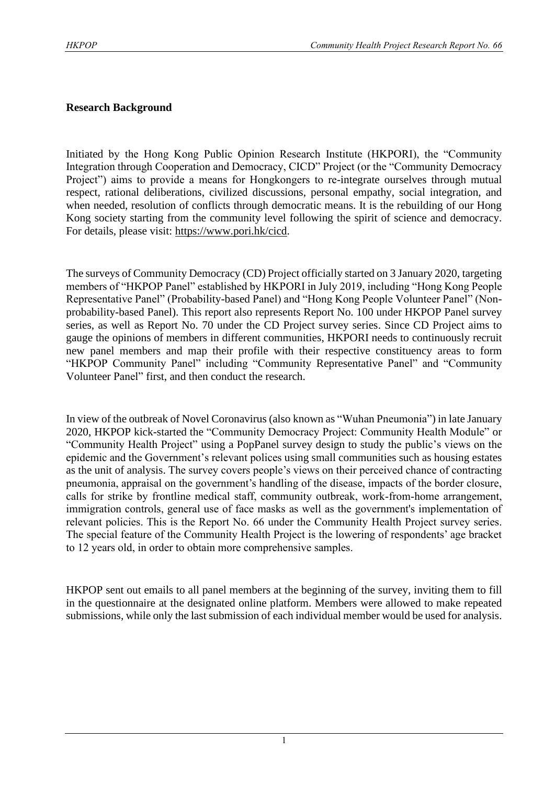## **Research Background**

Initiated by the Hong Kong Public Opinion Research Institute (HKPORI), the "Community Integration through Cooperation and Democracy, CICD" Project (or the "Community Democracy Project") aims to provide a means for Hongkongers to re-integrate ourselves through mutual respect, rational deliberations, civilized discussions, personal empathy, social integration, and when needed, resolution of conflicts through democratic means. It is the rebuilding of our Hong Kong society starting from the community level following the spirit of science and democracy. For details, please visit: [https://www.pori.hk/cicd.](https://www.pori.hk/cicd)

The surveys of Community Democracy (CD) Project officially started on 3 January 2020, targeting members of "HKPOP Panel" established by HKPORI in July 2019, including "Hong Kong People Representative Panel" (Probability-based Panel) and "Hong Kong People Volunteer Panel" (Nonprobability-based Panel). This report also represents Report No. 100 under HKPOP Panel survey series, as well as Report No. 70 under the CD Project survey series. Since CD Project aims to gauge the opinions of members in different communities, HKPORI needs to continuously recruit new panel members and map their profile with their respective constituency areas to form "HKPOP Community Panel" including "Community Representative Panel" and "Community Volunteer Panel" first, and then conduct the research.

In view of the outbreak of Novel Coronavirus (also known as "Wuhan Pneumonia") in late January 2020, HKPOP kick-started the "Community Democracy Project: Community Health Module" or "Community Health Project" using a PopPanel survey design to study the public's views on the epidemic and the Government's relevant polices using small communities such as housing estates as the unit of analysis. The survey covers people's views on their perceived chance of contracting pneumonia, appraisal on the government's handling of the disease, impacts of the border closure, calls for strike by frontline medical staff, community outbreak, work-from-home arrangement, immigration controls, general use of face masks as well as the government's implementation of relevant policies. This is the Report No. 66 under the Community Health Project survey series. The special feature of the Community Health Project is the lowering of respondents' age bracket to 12 years old, in order to obtain more comprehensive samples.

HKPOP sent out emails to all panel members at the beginning of the survey, inviting them to fill in the questionnaire at the designated online platform. Members were allowed to make repeated submissions, while only the last submission of each individual member would be used for analysis.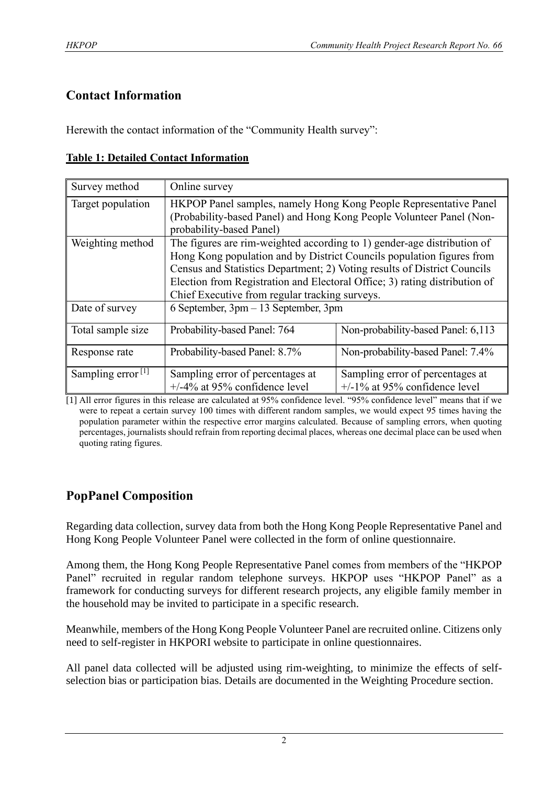# **Contact Information**

Herewith the contact information of the "Community Health survey":

# **Table 1: Detailed Contact Information**

| Survey method                 | Online survey                                                                                                                                                                                                                                                                                                                                                |                                                                      |  |  |  |  |
|-------------------------------|--------------------------------------------------------------------------------------------------------------------------------------------------------------------------------------------------------------------------------------------------------------------------------------------------------------------------------------------------------------|----------------------------------------------------------------------|--|--|--|--|
| Target population             | HKPOP Panel samples, namely Hong Kong People Representative Panel<br>(Probability-based Panel) and Hong Kong People Volunteer Panel (Non-<br>probability-based Panel)                                                                                                                                                                                        |                                                                      |  |  |  |  |
| Weighting method              | The figures are rim-weighted according to 1) gender-age distribution of<br>Hong Kong population and by District Councils population figures from<br>Census and Statistics Department; 2) Voting results of District Councils<br>Election from Registration and Electoral Office; 3) rating distribution of<br>Chief Executive from regular tracking surveys. |                                                                      |  |  |  |  |
| Date of survey                | 6 September, 3pm – 13 September, 3pm                                                                                                                                                                                                                                                                                                                         |                                                                      |  |  |  |  |
| Total sample size             | Probability-based Panel: 764                                                                                                                                                                                                                                                                                                                                 | Non-probability-based Panel: 6,113                                   |  |  |  |  |
| Response rate                 | Probability-based Panel: 8.7%                                                                                                                                                                                                                                                                                                                                | Non-probability-based Panel: 7.4%                                    |  |  |  |  |
| Sampling error <sup>[1]</sup> | Sampling error of percentages at<br>$+/-4\%$ at 95% confidence level                                                                                                                                                                                                                                                                                         | Sampling error of percentages at<br>$+/-1\%$ at 95% confidence level |  |  |  |  |

[1] All error figures in this release are calculated at 95% confidence level. "95% confidence level" means that if we were to repeat a certain survey 100 times with different random samples, we would expect 95 times having the population parameter within the respective error margins calculated. Because of sampling errors, when quoting percentages, journalists should refrain from reporting decimal places, whereas one decimal place can be used when quoting rating figures.

# **PopPanel Composition**

Regarding data collection, survey data from both the Hong Kong People Representative Panel and Hong Kong People Volunteer Panel were collected in the form of online questionnaire.

Among them, the Hong Kong People Representative Panel comes from members of the "HKPOP Panel" recruited in regular random telephone surveys. HKPOP uses "HKPOP Panel" as a framework for conducting surveys for different research projects, any eligible family member in the household may be invited to participate in a specific research.

Meanwhile, members of the Hong Kong People Volunteer Panel are recruited online. Citizens only need to self-register in HKPORI website to participate in online questionnaires.

All panel data collected will be adjusted using rim-weighting, to minimize the effects of selfselection bias or participation bias. Details are documented in the Weighting Procedure section.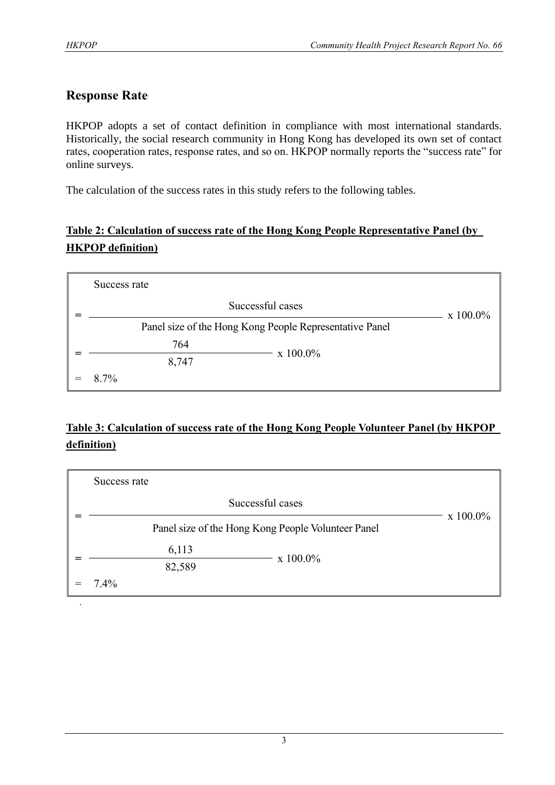.

# **Response Rate**

HKPOP adopts a set of contact definition in compliance with most international standards. Historically, the social research community in Hong Kong has developed its own set of contact rates, cooperation rates, response rates, and so on. HKPOP normally reports the "success rate" for online surveys.

The calculation of the success rates in this study refers to the following tables.

# **Table 2: Calculation of success rate of the Hong Kong People Representative Panel (by HKPOP definition)**

| Success rate                                            |                  |  |  |  |  |
|---------------------------------------------------------|------------------|--|--|--|--|
| Successful cases                                        | $x\ 100.0\%$     |  |  |  |  |
| Panel size of the Hong Kong People Representative Panel |                  |  |  |  |  |
| 764                                                     | $\rm x\;100.0\%$ |  |  |  |  |
| 8,747                                                   |                  |  |  |  |  |
| 8.7%                                                    |                  |  |  |  |  |

# **Table 3: Calculation of success rate of the Hong Kong People Volunteer Panel (by HKPOP definition)**

| Success rate                                       |             |  |  |  |  |  |  |  |
|----------------------------------------------------|-------------|--|--|--|--|--|--|--|
| Successful cases                                   | $x 100.0\%$ |  |  |  |  |  |  |  |
| Panel size of the Hong Kong People Volunteer Panel |             |  |  |  |  |  |  |  |
| 6,113                                              | x 100.0%    |  |  |  |  |  |  |  |
| 82,589                                             |             |  |  |  |  |  |  |  |
| 7.4%                                               |             |  |  |  |  |  |  |  |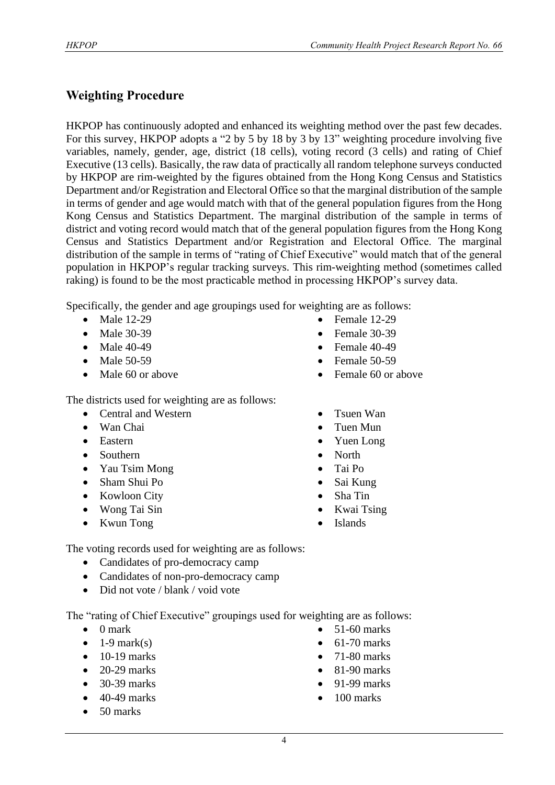# **Weighting Procedure**

HKPOP has continuously adopted and enhanced its weighting method over the past few decades. For this survey, HKPOP adopts a "2 by 5 by 18 by 3 by 13" weighting procedure involving five variables, namely, gender, age, district (18 cells), voting record (3 cells) and rating of Chief Executive (13 cells). Basically, the raw data of practically all random telephone surveys conducted by HKPOP are rim-weighted by the figures obtained from the Hong Kong Census and Statistics Department and/or Registration and Electoral Office so that the marginal distribution of the sample in terms of gender and age would match with that of the general population figures from the Hong Kong Census and Statistics Department. The marginal distribution of the sample in terms of district and voting record would match that of the general population figures from the Hong Kong Census and Statistics Department and/or Registration and Electoral Office. The marginal distribution of the sample in terms of "rating of Chief Executive" would match that of the general population in HKPOP's regular tracking surveys. This rim-weighting method (sometimes called raking) is found to be the most practicable method in processing HKPOP's survey data.

Specifically, the gender and age groupings used for weighting are as follows:

- Male 12-29
- Male 30-39
- Male 40-49
- Male 50-59
- Male 60 or above
- The districts used for weighting are as follows:
	- Central and Western
	- Wan Chai
	- Eastern
	- Southern
	- Yau Tsim Mong
	- Sham Shui Po
	- Kowloon City
	- Wong Tai Sin
	- Kwun Tong
- Female 12-29
- Female 30-39
- Female 40-49
- Female 50-59
- Female 60 or above
- Tsuen Wan
- Tuen Mun
- Yuen Long
- North
- Tai Po
- Sai Kung
- Sha Tin
- Kwai Tsing
- Islands

The voting records used for weighting are as follows:

- Candidates of pro-democracy camp
- Candidates of non-pro-democracy camp
- Did not vote / blank / void vote

The "rating of Chief Executive" groupings used for weighting are as follows:

- 0 mark
- $\bullet$  1-9 mark(s)
- $\bullet$  10-19 marks
- 20-29 marks
- 30-39 marks
- $\bullet$  40-49 marks
- 50 marks
- 51-60 marks
- $\bullet$  61-70 marks
- 71-80 marks
- 81-90 marks
- 91-99 marks
- $\bullet$  100 marks
- 
-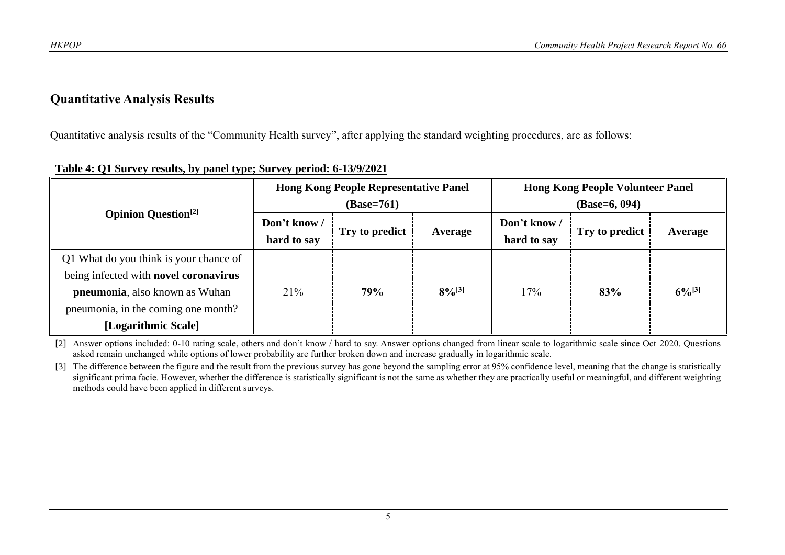## **Quantitative Analysis Results**

Quantitative analysis results of the "Community Health survey", after applying the standard weighting procedures, are as follows:

|                                                                                                                                                                                 |                             | <b>Hong Kong People Representative Panel</b><br>$(Base=761)$ |             | <b>Hong Kong People Volunteer Panel</b><br>$(Base=6, 094)$ |                |             |  |
|---------------------------------------------------------------------------------------------------------------------------------------------------------------------------------|-----------------------------|--------------------------------------------------------------|-------------|------------------------------------------------------------|----------------|-------------|--|
| <b>Opinion Question</b> <sup>[2]</sup>                                                                                                                                          | Don't know /<br>hard to say | Try to predict                                               | Average     | Don't know/<br>hard to say                                 | Try to predict | Average     |  |
| Q1 What do you think is your chance of<br>being infected with novel coronavirus<br>pneumonia, also known as Wuhan<br>pneumonia, in the coming one month?<br>[Logarithmic Scale] | 21%                         | 79%                                                          | $8\%^{[3]}$ | 17%                                                        | 83%            | $6\%^{[3]}$ |  |

### **Table 4: Q1 Survey results, by panel type; Survey period: 6-13/9/2021**

[2] Answer options included: 0-10 rating scale, others and don't know / hard to say. Answer options changed from linear scale to logarithmic scale since Oct 2020. Questions asked remain unchanged while options of lower probability are further broken down and increase gradually in logarithmic scale.

[3] The difference between the figure and the result from the previous survey has gone beyond the sampling error at 95% confidence level, meaning that the change is statistically significant prima facie. However, whether the difference is statistically significant is not the same as whether they are practically useful or meaningful, and different weighting methods could have been applied in different surveys.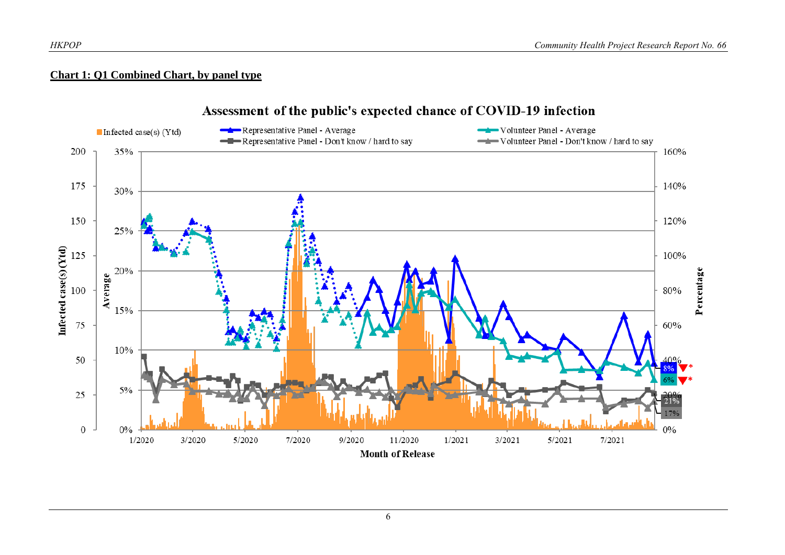## **Chart 1: Q1 Combined Chart, by panel type**



## Assessment of the public's expected chance of COVID-19 infection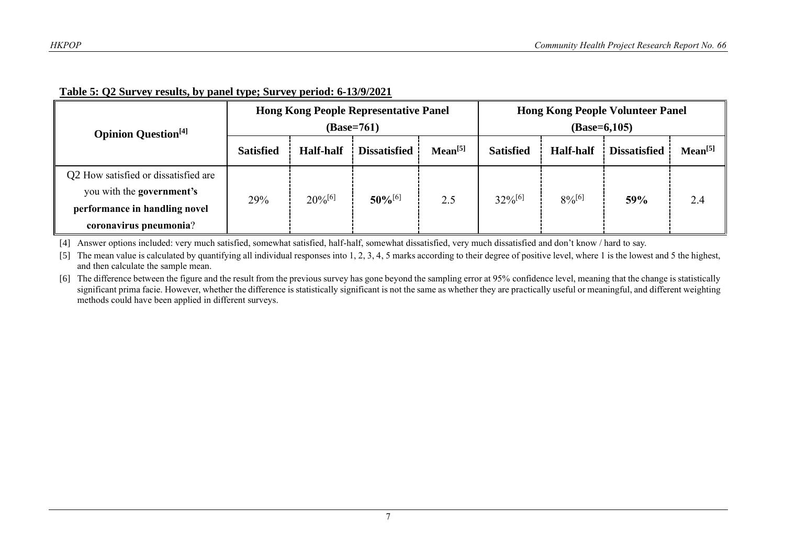| <b>Opinion Question</b> <sup>[4]</sup>                                                                                       |                  |                  | <b>Hong Kong People Representative Panel</b><br>(Base=761) | <b>Hong Kong People Volunteer Panel</b><br>$(Base=6,105)$ |                  |                  |                     |                     |
|------------------------------------------------------------------------------------------------------------------------------|------------------|------------------|------------------------------------------------------------|-----------------------------------------------------------|------------------|------------------|---------------------|---------------------|
|                                                                                                                              | <b>Satisfied</b> | <b>Half-half</b> | <b>Dissatisfied</b>                                        | Mean <sup>[5]</sup>                                       | <b>Satisfied</b> | <b>Half-half</b> | <b>Dissatisfied</b> | Mean <sup>[5]</sup> |
| Q2 How satisfied or dissatisfied are<br>you with the government's<br>performance in handling novel<br>coronavirus pneumonia? | 29%              | $20\%^{[6]}$     | $50\%$ <sup>[6]</sup>                                      | 2.5                                                       | $32\%^{[6]}$     | $8\%^{[6]}$      | 59%                 | 2.4                 |

#### **Table 5: Q2 Survey results, by panel type; Survey period: 6-13/9/2021**

[4] Answer options included: very much satisfied, somewhat satisfied, half-half, somewhat dissatisfied, very much dissatisfied and don't know / hard to say.

[5] The mean value is calculated by quantifying all individual responses into 1, 2, 3, 4, 5 marks according to their degree of positive level, where 1 is the lowest and 5 the highest, and then calculate the sample mean.

[6] The difference between the figure and the result from the previous survey has gone beyond the sampling error at 95% confidence level, meaning that the change is statistically significant prima facie. However, whether the difference is statistically significant is not the same as whether they are practically useful or meaningful, and different weighting methods could have been applied in different surveys.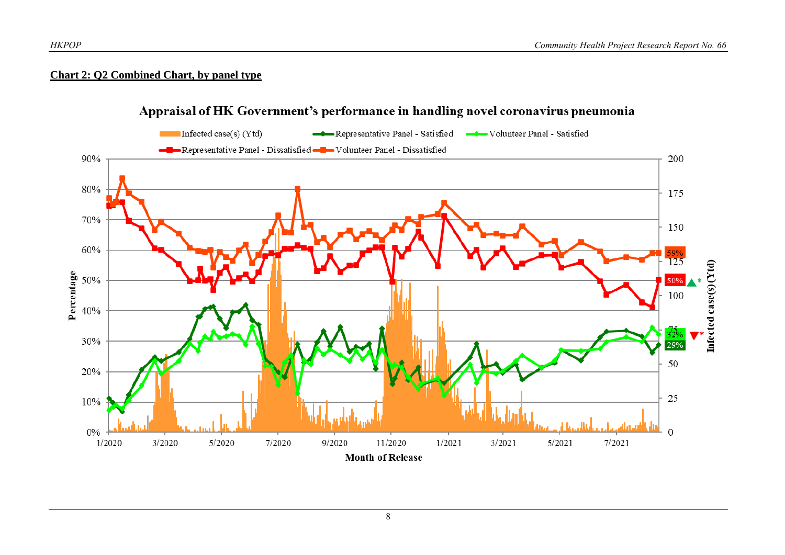#### **Chart 2: Q2 Combined Chart, by panel type**



## Appraisal of HK Government's performance in handling novel coronavirus pneumonia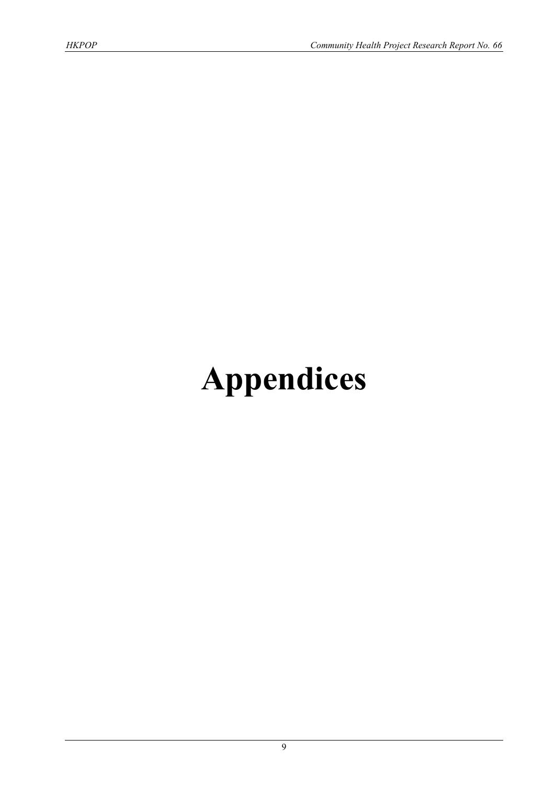# **Appendices**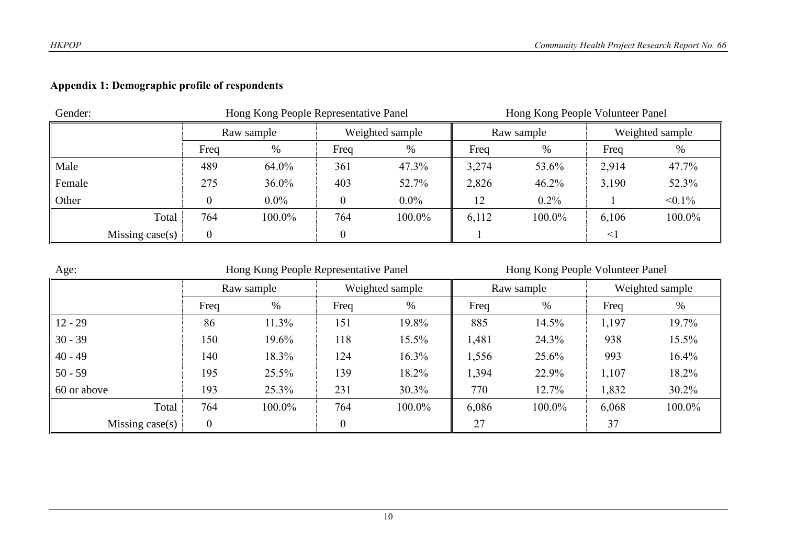# **Appendix 1: Demographic profile of respondents**

| Gender: |                   |          | Hong Kong People Representative Panel |                 |         | Hong Kong People Volunteer Panel |         |                 |           |
|---------|-------------------|----------|---------------------------------------|-----------------|---------|----------------------------------|---------|-----------------|-----------|
|         | Raw sample        |          |                                       | Weighted sample |         | Raw sample                       |         | Weighted sample |           |
|         |                   | Freq     | %                                     | Freq            | %       | Freq                             | %       | Freq            | %         |
| Male    |                   | 489      | 64.0%                                 | 361             | 47.3%   | 3,274                            | 53.6%   | 2,914           | 47.7%     |
| Female  |                   | 275      | $36.0\%$                              | 403             | 52.7%   | 2,826                            | 46.2%   | 3,190           | 52.3%     |
| Other   |                   |          | $0.0\%$                               |                 | $0.0\%$ | 12                               | $0.2\%$ |                 | $< 0.1\%$ |
|         | Total             | 764      | 100.0%                                | 764             | 100.0%  | 6,112                            | 100.0%  | 6,106           | 100.0%    |
|         | Missing $case(s)$ | $\Omega$ |                                       |                 |         |                                  |         | $\lt$           |           |

| Age:                | Hong Kong People Representative Panel |          |          |                 |       | Hong Kong People Volunteer Panel |       |                 |  |
|---------------------|---------------------------------------|----------|----------|-----------------|-------|----------------------------------|-------|-----------------|--|
|                     | Raw sample                            |          |          | Weighted sample |       | Raw sample                       |       | Weighted sample |  |
|                     | Freq                                  | %        | Freq     | %               | Freq  | %                                | Freq  | %               |  |
| $12 - 29$           | 86                                    | 11.3%    | 151      | 19.8%           | 885   | 14.5%                            | 1,197 | 19.7%           |  |
| $30 - 39$           | 150                                   | 19.6%    | 118      | 15.5%           | 1,481 | 24.3%                            | 938   | 15.5%           |  |
| $40 - 49$           | 140                                   | 18.3%    | 124      | 16.3%           | 1,556 | 25.6%                            | 993   | 16.4%           |  |
| $50 - 59$           | 195                                   | $25.5\%$ | 139      | 18.2%           | 1,394 | 22.9%                            | 1,107 | 18.2%           |  |
| $\vert$ 60 or above | 193                                   | 25.3%    | 231      | 30.3%           | 770   | 12.7%                            | 1,832 | 30.2%           |  |
| Total               | 764                                   | 100.0%   | 764      | 100.0%          | 6,086 | 100.0%                           | 6,068 | 100.0%          |  |
| Missing $case(s)$   | $\overline{0}$                        |          | $\theta$ |                 | 27    |                                  | 37    |                 |  |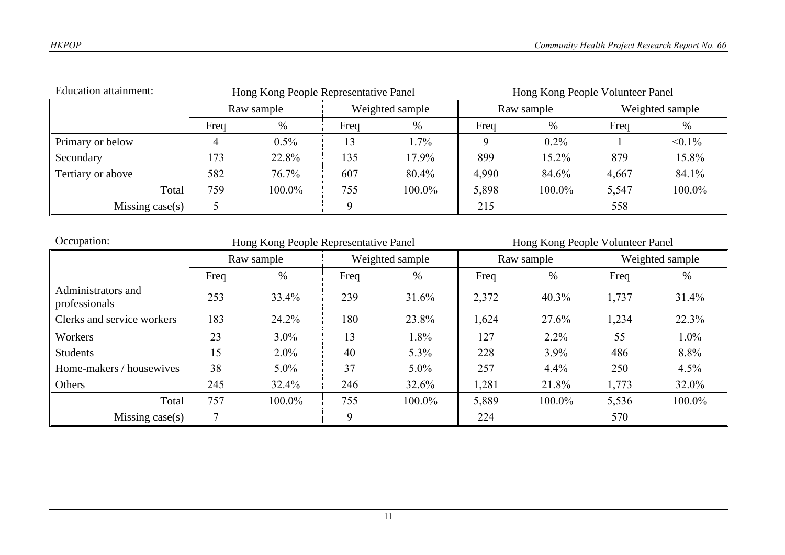| <b>Education attainment:</b> | Hong Kong People Representative Panel |          |      |                 |       |            | Hong Kong People Volunteer Panel |                 |  |  |
|------------------------------|---------------------------------------|----------|------|-----------------|-------|------------|----------------------------------|-----------------|--|--|
|                              | Raw sample                            |          |      | Weighted sample |       | Raw sample |                                  | Weighted sample |  |  |
|                              | Freq                                  | $\%$     | Freq | %               | Freq  | $\%$       | Freq                             | %               |  |  |
| Primary or below             |                                       | $0.5\%$  |      | $.7\%$          |       | $0.2\%$    |                                  | $< 0.1\%$       |  |  |
| Secondary                    | 173                                   | 22.8%    | 135  | 17.9%           | 899   | 15.2%      | 879                              | 15.8%           |  |  |
| Tertiary or above            | 582                                   | $76.7\%$ | 607  | 80.4%           | 4,990 | 84.6%      | 4,667                            | 84.1%           |  |  |
| Total                        | 759                                   | 100.0%   | 755  | 100.0%          | 5,898 | 100.0%     | 5,547                            | 100.0%          |  |  |
| Missing case(s)              |                                       |          |      |                 | 215   |            | 558                              |                 |  |  |

| Occupation:                         |        | Hong Kong People Representative Panel |      |                 | Hong Kong People Volunteer Panel |            |       |                 |
|-------------------------------------|--------|---------------------------------------|------|-----------------|----------------------------------|------------|-------|-----------------|
|                                     |        | Raw sample                            |      | Weighted sample |                                  | Raw sample |       | Weighted sample |
|                                     | Freq   | %                                     | Freq | %               | Freq                             | $\%$       | Freq  | %               |
| Administrators and<br>professionals | 253    | 33.4%                                 | 239  | 31.6%           | 2,372                            | 40.3%      | 1,737 | 31.4%           |
| Clerks and service workers          | 183    | 24.2%                                 | 180  | 23.8%           | 1,624                            | 27.6%      | 1,234 | 22.3%           |
| Workers                             | 23     | $3.0\%$                               | 13   | 1.8%            | 127                              | $2.2\%$    | 55    | $1.0\%$         |
| <b>Students</b>                     | 15     | $2.0\%$                               | 40   | $5.3\%$         | 228                              | 3.9%       | 486   | 8.8%            |
| Home-makers / housewives            | 38     | $5.0\%$                               | 37   | $5.0\%$         | 257                              | 4.4%       | 250   | 4.5%            |
| Others                              | 245    | 32.4%                                 | 246  | 32.6%           | 1,281                            | 21.8%      | 1,773 | 32.0%           |
| Total                               | 757    | 100.0%                                | 755  | 100.0%          | 5,889                            | 100.0%     | 5,536 | 100.0%          |
| Missing $case(s)$                   | $\tau$ |                                       | 9    |                 | 224                              |            | 570   |                 |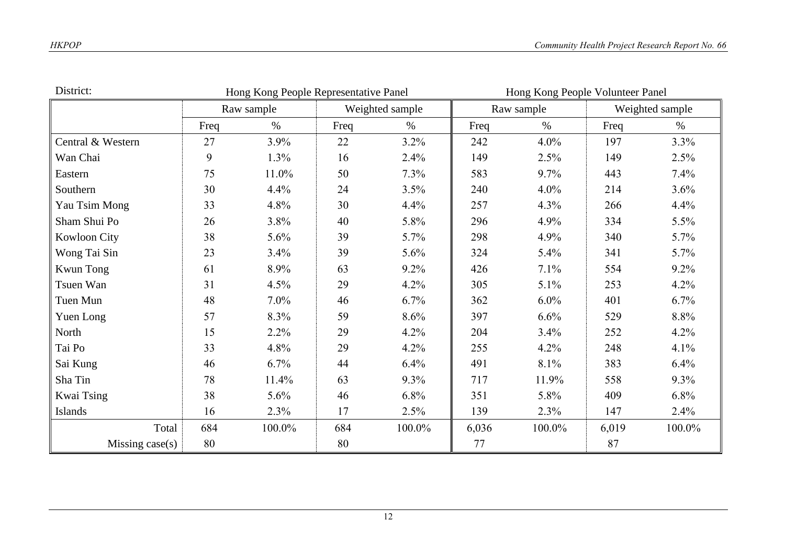| District:         |      | Hong Kong People Representative Panel |      |                 | Hong Kong People Volunteer Panel |            |       |                 |  |
|-------------------|------|---------------------------------------|------|-----------------|----------------------------------|------------|-------|-----------------|--|
|                   |      | Raw sample                            |      | Weighted sample |                                  | Raw sample |       | Weighted sample |  |
|                   | Freq | $\%$                                  | Freq | $\%$            | Freq                             | $\%$       | Freq  | $\%$            |  |
| Central & Western | 27   | 3.9%                                  | 22   | $3.2\%$         | 242                              | 4.0%       | 197   | 3.3%            |  |
| Wan Chai          | 9    | 1.3%                                  | 16   | 2.4%            | 149                              | 2.5%       | 149   | 2.5%            |  |
| Eastern           | 75   | 11.0%                                 | 50   | 7.3%            | 583                              | 9.7%       | 443   | 7.4%            |  |
| Southern          | 30   | 4.4%                                  | 24   | 3.5%            | 240                              | 4.0%       | 214   | 3.6%            |  |
| Yau Tsim Mong     | 33   | 4.8%                                  | 30   | 4.4%            | 257                              | 4.3%       | 266   | 4.4%            |  |
| Sham Shui Po      | 26   | 3.8%                                  | 40   | 5.8%            | 296                              | 4.9%       | 334   | 5.5%            |  |
| Kowloon City      | 38   | 5.6%                                  | 39   | 5.7%            | 298                              | 4.9%       | 340   | 5.7%            |  |
| Wong Tai Sin      | 23   | 3.4%                                  | 39   | 5.6%            | 324                              | 5.4%       | 341   | 5.7%            |  |
| <b>Kwun Tong</b>  | 61   | 8.9%                                  | 63   | $9.2\%$         | 426                              | 7.1%       | 554   | $9.2\%$         |  |
| Tsuen Wan         | 31   | 4.5%                                  | 29   | 4.2%            | 305                              | 5.1%       | 253   | 4.2%            |  |
| Tuen Mun          | 48   | 7.0%                                  | 46   | 6.7%            | 362                              | 6.0%       | 401   | 6.7%            |  |
| Yuen Long         | 57   | 8.3%                                  | 59   | 8.6%            | 397                              | 6.6%       | 529   | 8.8%            |  |
| North             | 15   | 2.2%                                  | 29   | 4.2%            | 204                              | 3.4%       | 252   | 4.2%            |  |
| Tai Po            | 33   | 4.8%                                  | 29   | 4.2%            | 255                              | 4.2%       | 248   | 4.1%            |  |
| Sai Kung          | 46   | 6.7%                                  | 44   | 6.4%            | 491                              | 8.1%       | 383   | 6.4%            |  |
| Sha Tin           | 78   | 11.4%                                 | 63   | 9.3%            | 717                              | 11.9%      | 558   | 9.3%            |  |
| Kwai Tsing        | 38   | 5.6%                                  | 46   | 6.8%            | 351                              | 5.8%       | 409   | 6.8%            |  |
| Islands           | 16   | 2.3%                                  | 17   | 2.5%            | 139                              | 2.3%       | 147   | 2.4%            |  |
| Total             | 684  | 100.0%                                | 684  | 100.0%          | 6,036                            | 100.0%     | 6,019 | 100.0%          |  |
| Missing $case(s)$ | 80   |                                       | 80   |                 | 77                               |            | 87    |                 |  |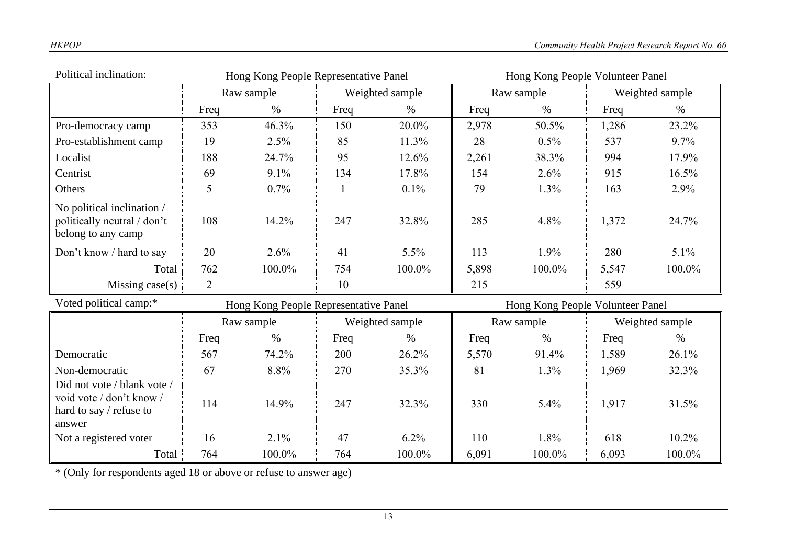| Political inclination:                                                                       |      | Hong Kong People Representative Panel |      |                 | Hong Kong People Volunteer Panel |            |       |                 |
|----------------------------------------------------------------------------------------------|------|---------------------------------------|------|-----------------|----------------------------------|------------|-------|-----------------|
|                                                                                              |      | Raw sample                            |      | Weighted sample |                                  | Raw sample |       | Weighted sample |
|                                                                                              | Freq | $\%$                                  | Freq | $\%$            | Freq                             | $\%$       | Freq  | $\%$            |
| Pro-democracy camp                                                                           | 353  | 46.3%                                 | 150  | 20.0%           | 2,978                            | 50.5%      | 1,286 | 23.2%           |
| Pro-establishment camp                                                                       | 19   | 2.5%                                  | 85   | 11.3%           | 28                               | 0.5%       | 537   | 9.7%            |
| Localist                                                                                     | 188  | 24.7%                                 | 95   | 12.6%           | 2,261                            | 38.3%      | 994   | 17.9%           |
| Centrist                                                                                     | 69   | 9.1%                                  | 134  | 17.8%           | 154                              | 2.6%       | 915   | 16.5%           |
| Others                                                                                       | 5    | 0.7%                                  |      | 0.1%            | 79                               | 1.3%       | 163   | 2.9%            |
| No political inclination /<br>politically neutral / don't<br>belong to any camp              | 108  | 14.2%                                 | 247  | 32.8%           | 285                              | 4.8%       | 1,372 | 24.7%           |
| Don't know / hard to say                                                                     | 20   | 2.6%                                  | 41   | 5.5%            | 113                              | 1.9%       | 280   | $5.1\%$         |
| Total                                                                                        | 762  | 100.0%                                | 754  | 100.0%          | 5,898                            | 100.0%     | 5,547 | 100.0%          |
| Missing case(s)                                                                              | 2    |                                       | 10   |                 | 215                              |            | 559   |                 |
| Voted political camp:*                                                                       |      | Hong Kong People Representative Panel |      |                 | Hong Kong People Volunteer Panel |            |       |                 |
|                                                                                              |      | Raw sample                            |      | Weighted sample |                                  | Raw sample |       | Weighted sample |
|                                                                                              | Freq | $\%$                                  | Freq | $\%$            | Freq                             | $\%$       | Freq  | $\%$            |
| Democratic                                                                                   | 567  | 74.2%                                 | 200  | 26.2%           | 5,570                            | 91.4%      | 1,589 | 26.1%           |
| Non-democratic                                                                               | 67   | 8.8%                                  | 270  | 35.3%           | 81                               | 1.3%       | 1,969 | 32.3%           |
| Did not vote / blank vote /<br>void vote / don't know /<br>hard to say / refuse to<br>answer | 114  | 14.9%                                 | 247  | 32.3%           | 330                              | 5.4%       | 1,917 | 31.5%           |
| Not a registered voter                                                                       | 16   | 2.1%                                  | 47   | 6.2%            | 110                              | 1.8%       | 618   | 10.2%           |
| Total                                                                                        | 764  | 100.0%                                | 764  | 100.0%          | 6,091                            | 100.0%     | 6,093 | 100.0%          |

\* (Only for respondents aged 18 or above or refuse to answer age)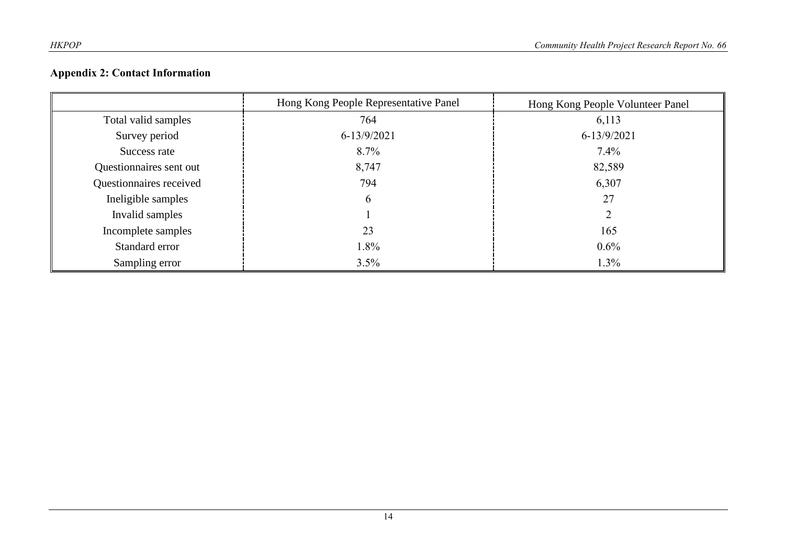# **Appendix 2: Contact Information**

|                         | Hong Kong People Representative Panel | Hong Kong People Volunteer Panel |
|-------------------------|---------------------------------------|----------------------------------|
| Total valid samples     | 764                                   | 6,113                            |
| Survey period           | $6 - 13/9/2021$                       | 6-13/9/2021                      |
| Success rate            | $8.7\%$                               | $7.4\%$                          |
| Questionnaires sent out | 8,747                                 | 82,589                           |
| Questionnaires received | 794                                   | 6,307                            |
| Ineligible samples      | 6                                     | 27                               |
| Invalid samples         |                                       |                                  |
| Incomplete samples      | 23                                    | 165                              |
| Standard error          | 1.8%                                  | $0.6\%$                          |
| Sampling error          | 3.5%                                  | 1.3%                             |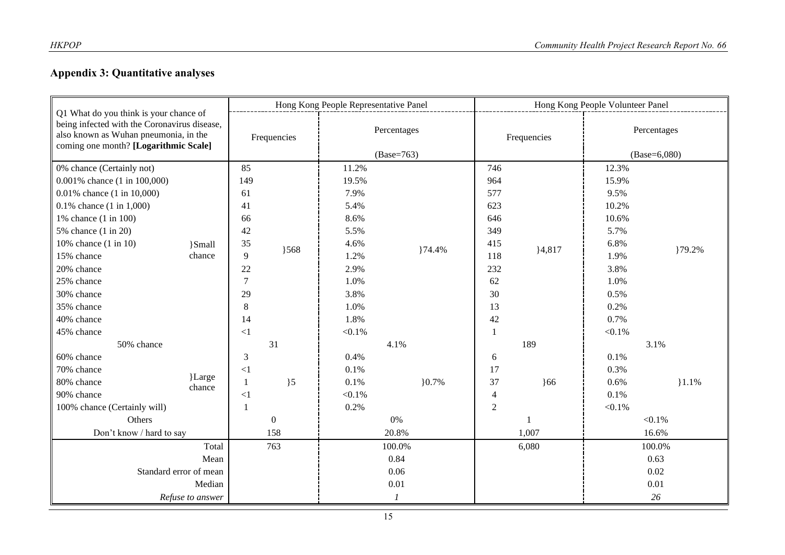# **Appendix 3: Quantitative analyses**

| Q1 What do you think is your chance of<br>being infected with the Coronavirus disease,<br>also known as Wuhan pneumonia, in the<br>coming one month? [Logarithmic Scale] |                  | Hong Kong People Representative Panel |                    |                             |         |                | Hong Kong People Volunteer Panel |                               |        |  |
|--------------------------------------------------------------------------------------------------------------------------------------------------------------------------|------------------|---------------------------------------|--------------------|-----------------------------|---------|----------------|----------------------------------|-------------------------------|--------|--|
|                                                                                                                                                                          |                  | Frequencies                           |                    | Percentages<br>$(Base=763)$ |         | Frequencies    |                                  | Percentages<br>$(Base=6,080)$ |        |  |
| 0% chance (Certainly not)                                                                                                                                                |                  | 85                                    |                    | 11.2%                       |         | 746            |                                  | 12.3%                         |        |  |
| 0.001% chance (1 in 100,000)                                                                                                                                             |                  | 149                                   |                    | 19.5%                       |         | 964            |                                  | 15.9%                         |        |  |
| 0.01% chance (1 in 10,000)                                                                                                                                               |                  | 61<br>41<br>66                        | 7.9%               |                             | 577     |                | 9.5%                             |                               |        |  |
| $0.1\%$ chance $(1 \text{ in } 1,000)$                                                                                                                                   |                  |                                       | 5.4%               |                             | 623     |                | 10.2%                            |                               |        |  |
| 1% chance (1 in 100)                                                                                                                                                     |                  |                                       | 8.6%               |                             | 646     |                | 10.6%                            |                               |        |  |
| 5% chance (1 in 20)                                                                                                                                                      |                  | 42                                    |                    | 5.5%                        |         | 349            |                                  | 5.7%                          |        |  |
| 10% chance (1 in 10)                                                                                                                                                     | }Small           | 35                                    |                    | 4.6%                        |         | 415            |                                  | 6.8%                          |        |  |
| 15% chance                                                                                                                                                               | chance           | 9                                     | 368                | 1.2%                        | }74.4%  | 118            | ${4,817}$                        | 1.9%                          | }79.2% |  |
| 20% chance                                                                                                                                                               |                  | 22                                    |                    | 2.9%                        |         | 232            |                                  | 3.8%                          |        |  |
| 25% chance                                                                                                                                                               |                  | $\overline{7}$                        | 29<br>8            | 1.0%                        |         | 62             |                                  | 1.0%                          |        |  |
| 30% chance                                                                                                                                                               |                  |                                       |                    | 3.8%                        |         | 30             |                                  | 0.5%                          |        |  |
| 35% chance                                                                                                                                                               |                  |                                       |                    | 1.0%                        |         | 13             |                                  | 0.2%                          |        |  |
| 40% chance                                                                                                                                                               |                  | 14                                    | 1.8%               |                             | 42      | 0.7%           |                                  |                               |        |  |
| 45% chance                                                                                                                                                               |                  | $\leq$ 1                              |                    | $< 0.1\%$                   |         | 1              |                                  | $< 0.1\%$                     |        |  |
| 50% chance                                                                                                                                                               |                  | 31                                    |                    | 4.1%                        |         |                | 189                              |                               | 3.1%   |  |
| 60% chance                                                                                                                                                               |                  | 3                                     |                    | 0.4%                        |         | 6              |                                  | 0.1%                          |        |  |
| 70% chance                                                                                                                                                               |                  | $\leq$ 1                              |                    | 0.1%                        |         | 17             |                                  | 0.3%                          |        |  |
| 80% chance                                                                                                                                                               | }Large<br>chance | 1                                     | $\overline{)5}$    | 0.1%                        | $0.7\%$ | 37             | 66                               | 0.6%                          | 1.1%   |  |
| 90% chance                                                                                                                                                               |                  | $\leq$ 1                              |                    | $< 0.1\%$                   |         | $\overline{4}$ |                                  | 0.1%                          |        |  |
| 100% chance (Certainly will)                                                                                                                                             |                  |                                       |                    | 0.2%                        |         | $\overline{2}$ |                                  | $< 0.1\%$                     |        |  |
| Others                                                                                                                                                                   |                  |                                       | $\mathbf{0}$<br>0% |                             |         |                | $< 0.1\%$                        |                               |        |  |
| Don't know / hard to say                                                                                                                                                 |                  | 158                                   |                    | 20.8%                       |         | 1,007          |                                  | 16.6%                         |        |  |
| Total                                                                                                                                                                    |                  |                                       | 763<br>100.0%      |                             | 6,080   |                | 100.0%                           |                               |        |  |
| Mean                                                                                                                                                                     |                  | 0.84                                  |                    |                             |         |                | 0.63                             |                               |        |  |
| Standard error of mean                                                                                                                                                   |                  |                                       |                    | 0.06                        |         |                |                                  | 0.02                          |        |  |
| Median                                                                                                                                                                   |                  |                                       |                    | 0.01                        |         |                |                                  | 0.01                          |        |  |
| Refuse to answer                                                                                                                                                         |                  | 1                                     |                    |                             |         | 26             |                                  |                               |        |  |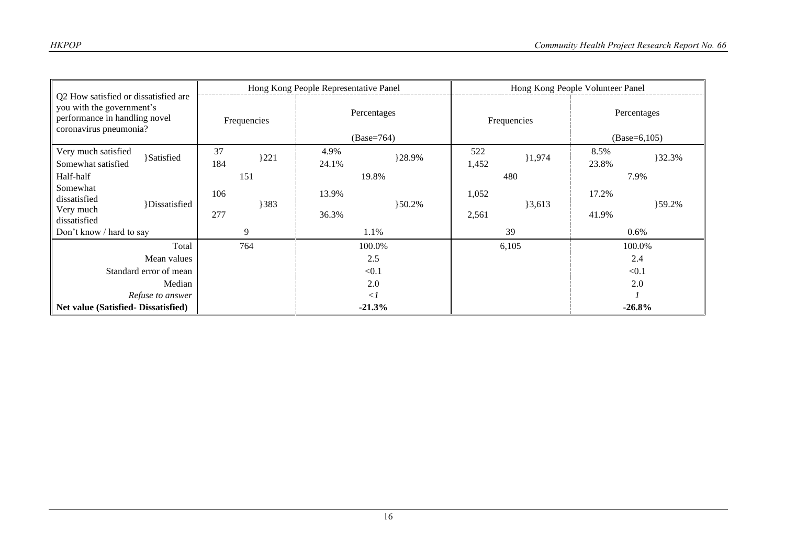| Q2 How satisfied or dissatisfied are<br>you with the government's<br>performance in handling novel<br>coronavirus pneumonia? |                     |             |      | Hong Kong People Representative Panel |            | Hong Kong People Volunteer Panel |             |                               |        |
|------------------------------------------------------------------------------------------------------------------------------|---------------------|-------------|------|---------------------------------------|------------|----------------------------------|-------------|-------------------------------|--------|
|                                                                                                                              |                     | Frequencies |      | Percentages<br>$(Base=764)$           |            | Frequencies                      |             | Percentages<br>$(Base=6,105)$ |        |
| Very much satisfied                                                                                                          | <b>Satisfied</b>    | 37          | 3221 | 4.9%                                  | }28.9%     | 522                              | }1,974      | 8.5%                          | }32.3% |
| Somewhat satisfied                                                                                                           |                     | 184         |      | 24.1%                                 |            | 1,452                            |             | 23.8%                         |        |
| Half-half                                                                                                                    |                     | 151         |      | 19.8%                                 |            | 480                              |             | 7.9%                          |        |
| Somewhat<br>dissatisfied                                                                                                     |                     | 106         |      | 13.9%                                 |            | 1,052                            |             | 17.2%                         |        |
| Very much<br>dissatisfied                                                                                                    | <i>Dissatisfied</i> | 277         | }383 | 36.3%                                 | $\{50.2\%$ | 2,561                            | $\{3,613\}$ | 41.9%                         | }59.2% |
| Don't know / hard to say                                                                                                     |                     | 9           |      | 1.1%                                  |            | 39                               |             | $0.6\%$                       |        |
| Total                                                                                                                        |                     |             | 764  | 100.0%                                |            | 6,105                            |             | 100.0%                        |        |
| Mean values                                                                                                                  |                     |             |      | 2.5                                   |            |                                  |             | 2.4                           |        |
| Standard error of mean                                                                                                       |                     |             |      | < 0.1                                 |            |                                  |             | < 0.1                         |        |
| Median                                                                                                                       |                     |             |      | 2.0                                   |            |                                  |             | 2.0                           |        |
| Refuse to answer                                                                                                             |                     |             |      | $\langle$ 1                           |            |                                  |             |                               |        |
| Net value (Satisfied-Dissatisfied)                                                                                           |                     |             |      | $-21.3%$                              |            |                                  |             | $-26.8%$                      |        |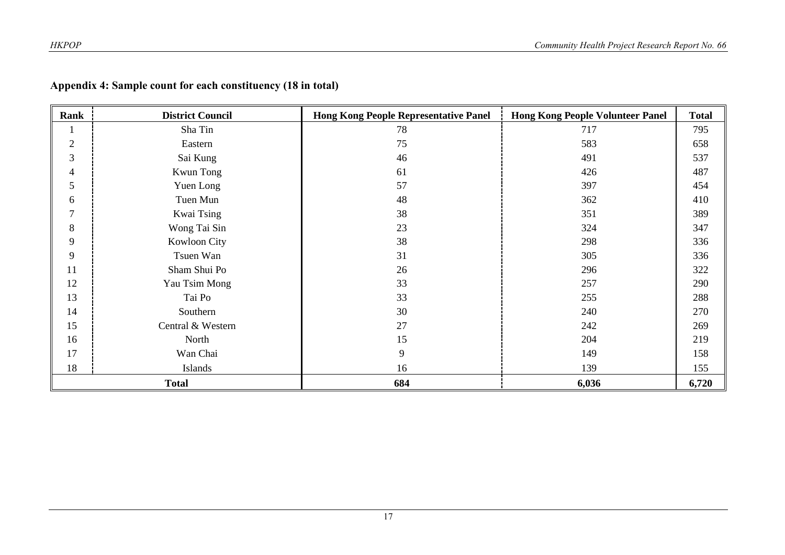| Rank           | <b>District Council</b> | <b>Hong Kong People Representative Panel</b> | <b>Hong Kong People Volunteer Panel</b> | <b>Total</b> |
|----------------|-------------------------|----------------------------------------------|-----------------------------------------|--------------|
|                | Sha Tin                 | 78                                           | 717                                     | 795          |
| $\overline{2}$ | Eastern                 | 75                                           | 583                                     | 658          |
| 3              | Sai Kung                | 46                                           | 491                                     | 537          |
| 4              | <b>Kwun Tong</b>        | 61                                           | 426                                     | 487          |
| 5              | Yuen Long               | 57                                           | 397                                     | 454          |
| 6              | Tuen Mun                | 48                                           | 362                                     | 410          |
| $\mathcal{I}$  | Kwai Tsing              | 38                                           | 351                                     | 389          |
| 8              | Wong Tai Sin            | 23                                           | 324                                     | 347          |
| 9              | Kowloon City            | 38                                           | 298                                     | 336          |
| 9              | Tsuen Wan               | 31                                           | 305                                     | 336          |
| 11             | Sham Shui Po            | 26                                           | 296                                     | 322          |
| 12             | Yau Tsim Mong           | 33                                           | 257                                     | 290          |
| 13             | Tai Po                  | 33                                           | 255                                     | 288          |
| 14             | Southern                | 30                                           | 240                                     | 270          |
| 15             | Central & Western       | 27                                           | 242                                     | 269          |
| 16             | North                   | 15                                           | 204                                     | 219          |
| 17             | Wan Chai                | 9                                            | 149                                     | 158          |
| 18             | Islands                 | 16                                           | 139                                     | 155          |
| <b>Total</b>   |                         | 684                                          | 6,036                                   | 6,720        |

## **Appendix 4: Sample count for each constituency (18 in total)**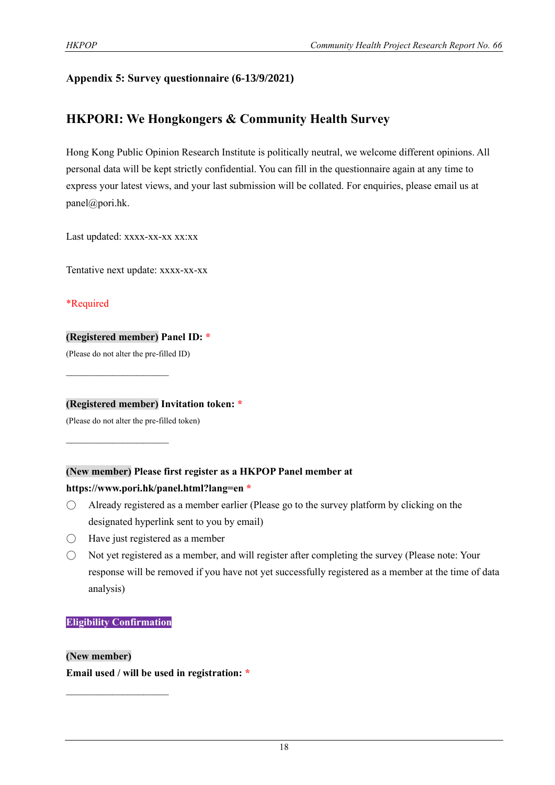# **Appendix 5: Survey questionnaire (6-13/9/2021)**

# **HKPORI: We Hongkongers & Community Health Survey**

Hong Kong Public Opinion Research Institute is politically neutral, we welcome different opinions. All personal data will be kept strictly confidential. You can fill in the questionnaire again at any time to express your latest views, and your last submission will be collated. For enquiries, please email us at panel@pori.hk.

Last updated: xxxx-xx-xx xx:xx

Tentative next update: xxxx-xx-xx

\*Required

#### **(Registered member) Panel ID: \***

(Please do not alter the pre-filled ID)

 $\mathcal{L}_\text{max}$  , where  $\mathcal{L}_\text{max}$ 

 $\mathcal{L}_\text{max}$  , where  $\mathcal{L}_\text{max}$ 

**(Registered member) Invitation token: \***

(Please do not alter the pre-filled token)

#### **(New member) Please first register as a HKPOP Panel member at**

#### **https://www.pori.hk/panel.html?lang=en \***

- $\bigcirc$  Already registered as a member earlier (Please go to the survey platform by clicking on the designated hyperlink sent to you by email)
- $\bigcirc$  Have just registered as a member
- Not yet registered as a member, and will register after completing the survey (Please note: Your response will be removed if you have not yet successfully registered as a member at the time of data analysis)

#### **Eligibility Confirmation**

 $\mathcal{L}_\text{max}$ 

#### **(New member)**

**Email used / will be used in registration: \***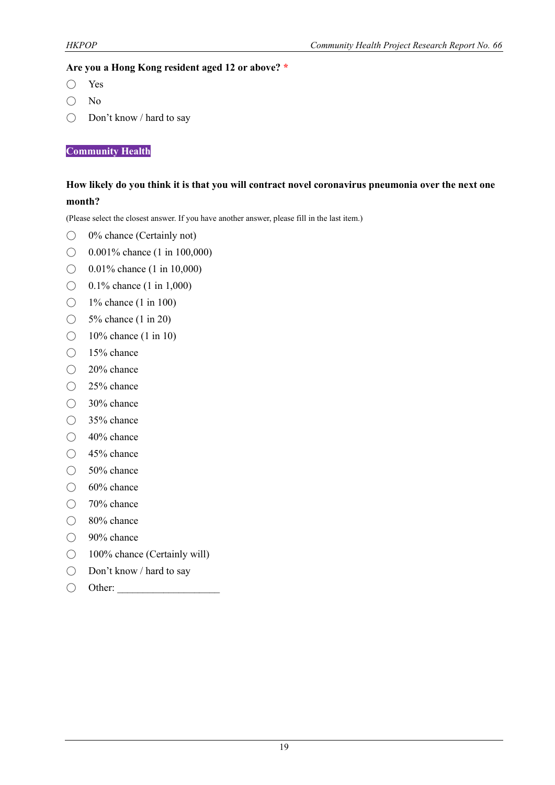#### **Are you a Hong Kong resident aged 12 or above? \***

- Yes
- No
- Don't know / hard to say

**Community Health**

## **How likely do you think it is that you will contract novel coronavirus pneumonia over the next one month?**

(Please select the closest answer. If you have another answer, please fill in the last item.)

- 0% chance (Certainly not)
- $\bigcirc$  0.001% chance (1 in 100,000)
- ◯ 0.01% chance (1 in 10,000)
- $\bigcirc$  0.1% chance (1 in 1,000)
- $\bigcirc$  1% chance (1 in 100)
- ◯ 5<sup>%</sup> chance (1 in 20)
- $\bigcirc$  10% chance (1 in 10)
- 15% chance
- 20% chance
- 25% chance
- 30% chance
- 35% chance
- 40% chance
- 45% chance
- $\bigcirc$  50% chance
- $\bigcirc$  60% chance
- 70% chance
- 80% chance
- 90% chance
- 100% chance (Certainly will)
- Don't know / hard to say
- $\bigcirc$  Other: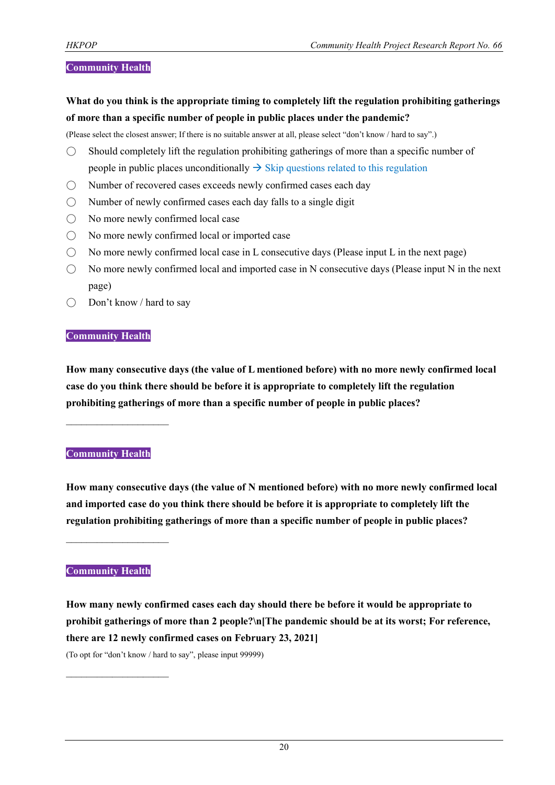#### **Community Health**

**What do you think is the appropriate timing to completely lift the regulation prohibiting gatherings of more than a specific number of people in public places under the pandemic?**

(Please select the closest answer; If there is no suitable answer at all, please select "don't know / hard to say".)

- $\bigcirc$  Should completely lift the regulation prohibiting gatherings of more than a specific number of people in public places unconditionally  $\rightarrow$  Skip questions related to this regulation
- Number of recovered cases exceeds newly confirmed cases each day
- $\bigcirc$  Number of newly confirmed cases each day falls to a single digit
- No more newly confirmed local case
- No more newly confirmed local or imported case
- $\bigcirc$  No more newly confirmed local case in L consecutive days (Please input L in the next page)
- $\bigcirc$  No more newly confirmed local and imported case in N consecutive days (Please input N in the next page)
- Don't know / hard to say

#### **Community Health**

**How many consecutive days (the value of L mentioned before) with no more newly confirmed local case do you think there should be before it is appropriate to completely lift the regulation prohibiting gatherings of more than a specific number of people in public places?**

#### **Community Health**

 $\mathcal{L}_\text{max}$  , where  $\mathcal{L}_\text{max}$ 

**How many consecutive days (the value of N mentioned before) with no more newly confirmed local and imported case do you think there should be before it is appropriate to completely lift the regulation prohibiting gatherings of more than a specific number of people in public places?**

 $\mathcal{L}_\text{max}$  , where  $\mathcal{L}_\text{max}$ 

 $\mathcal{L}_\text{max}$ 

#### **Community Health**

**How many newly confirmed cases each day should there be before it would be appropriate to prohibit gatherings of more than 2 people?\n[The pandemic should be at its worst; For reference, there are 12 newly confirmed cases on February 23, 2021]** (To opt for "don't know / hard to say", please input 99999)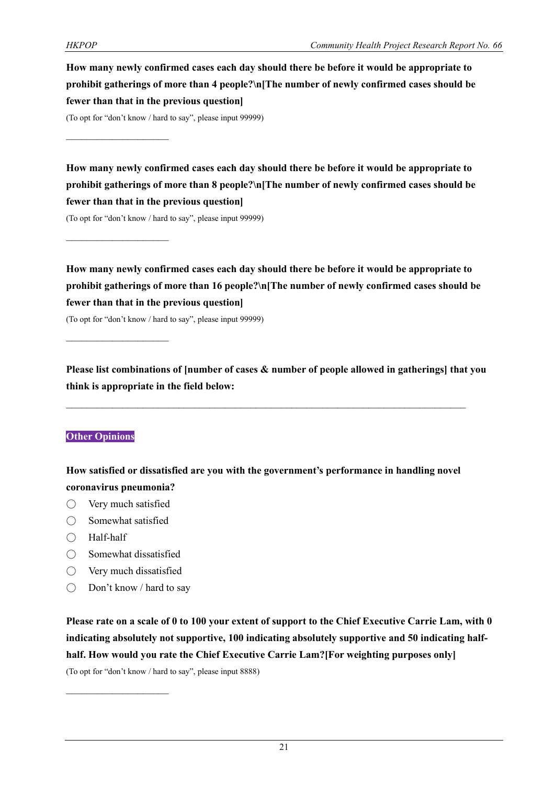**How many newly confirmed cases each day should there be before it would be appropriate to prohibit gatherings of more than 4 people?\n[The number of newly confirmed cases should be fewer than that in the previous question]**

(To opt for "don't know / hard to say", please input 99999)

 $\mathcal{L}_\text{max}$ 

 $\mathcal{L}_\text{max}$ 

**How many newly confirmed cases each day should there be before it would be appropriate to prohibit gatherings of more than 8 people?\n[The number of newly confirmed cases should be fewer than that in the previous question]**

(To opt for "don't know / hard to say", please input 99999)

**How many newly confirmed cases each day should there be before it would be appropriate to prohibit gatherings of more than 16 people?\n[The number of newly confirmed cases should be fewer than that in the previous question]**

(To opt for "don't know / hard to say", please input 99999)

**Please list combinations of [number of cases & number of people allowed in gatherings] that you think is appropriate in the field below:**

#### **Other Opinions**

**How satisfied or dissatisfied are you with the government's performance in handling novel coronavirus pneumonia?**

- Very much satisfied
- $\bigcirc$  Somewhat satisfied
- Half-half
- Somewhat dissatisfied
- Very much dissatisfied

 $\mathcal{L}_\text{max}$ 

 $\bigcirc$  Don't know / hard to say

**Please rate on a scale of 0 to 100 your extent of support to the Chief Executive Carrie Lam, with 0 indicating absolutely not supportive, 100 indicating absolutely supportive and 50 indicating halfhalf. How would you rate the Chief Executive Carrie Lam?[For weighting purposes only]**

(To opt for "don't know / hard to say", please input 8888)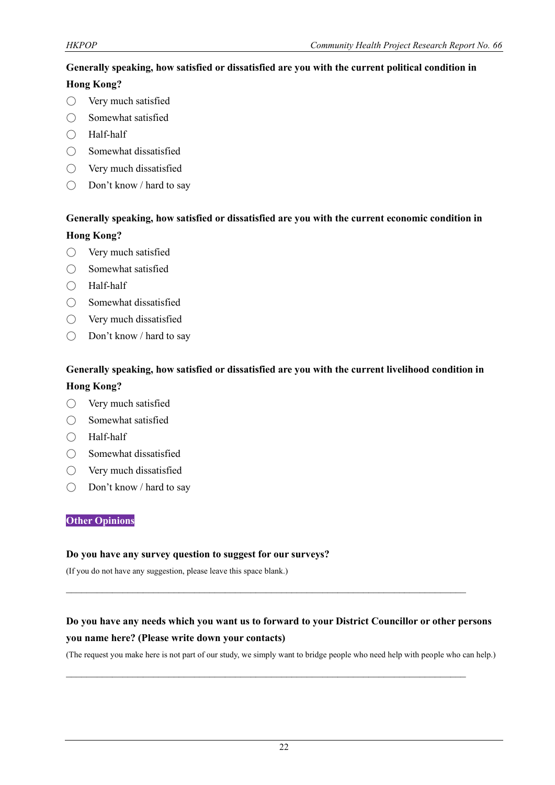#### **Generally speaking, how satisfied or dissatisfied are you with the current political condition in**

#### **Hong Kong?**

- Very much satisfied
- Somewhat satisfied
- Half-half
- $\bigcirc$  Somewhat dissatisfied
- Very much dissatisfied
- Don't know / hard to say

# **Generally speaking, how satisfied or dissatisfied are you with the current economic condition in Hong Kong?**

- Very much satisfied
- Somewhat satisfied
- Half-half
- Somewhat dissatisfied
- Very much dissatisfied
- Don't know / hard to say

#### **Generally speaking, how satisfied or dissatisfied are you with the current livelihood condition in**

#### **Hong Kong?**

- Very much satisfied
- Somewhat satisfied
- Half-half
- Somewhat dissatisfied
- Very much dissatisfied
- Don't know / hard to say

#### **Other Opinions**

#### **Do you have any survey question to suggest for our surveys?**

(If you do not have any suggestion, please leave this space blank.)

# **Do you have any needs which you want us to forward to your District Councillor or other persons you name here? (Please write down your contacts)**

 $\mathcal{L}_\text{max}$  and  $\mathcal{L}_\text{max}$  and  $\mathcal{L}_\text{max}$  and  $\mathcal{L}_\text{max}$  and  $\mathcal{L}_\text{max}$  and  $\mathcal{L}_\text{max}$ 

 $\mathcal{L}_\mathcal{L} = \{ \mathcal{L}_\mathcal{L} = \{ \mathcal{L}_\mathcal{L} = \{ \mathcal{L}_\mathcal{L} = \{ \mathcal{L}_\mathcal{L} = \{ \mathcal{L}_\mathcal{L} = \{ \mathcal{L}_\mathcal{L} = \{ \mathcal{L}_\mathcal{L} = \{ \mathcal{L}_\mathcal{L} = \{ \mathcal{L}_\mathcal{L} = \{ \mathcal{L}_\mathcal{L} = \{ \mathcal{L}_\mathcal{L} = \{ \mathcal{L}_\mathcal{L} = \{ \mathcal{L}_\mathcal{L} = \{ \mathcal{L}_\mathcal{$ 

(The request you make here is not part of our study, we simply want to bridge people who need help with people who can help.)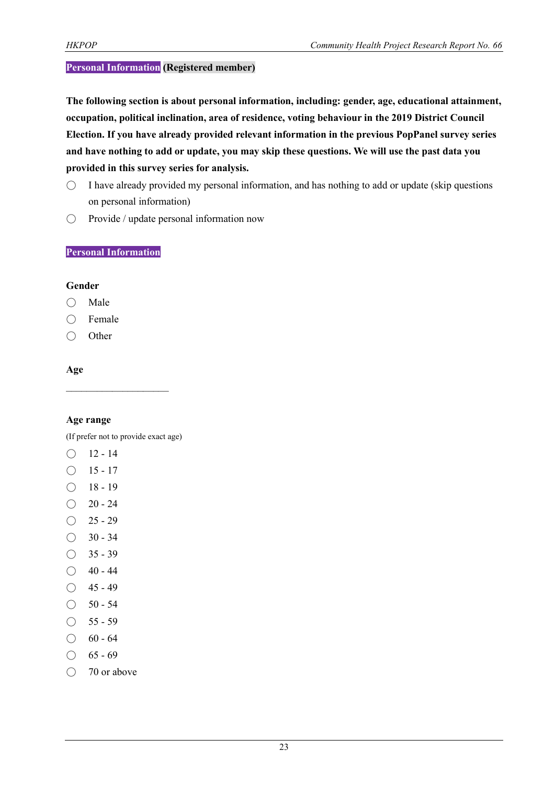#### **Personal Information (Registered member)**

**The following section is about personal information, including: gender, age, educational attainment, occupation, political inclination, area of residence, voting behaviour in the 2019 District Council Election. If you have already provided relevant information in the previous PopPanel survey series and have nothing to add or update, you may skip these questions. We will use the past data you provided in this survey series for analysis.**

- $\circ$  I have already provided my personal information, and has nothing to add or update (skip questions on personal information)
- Provide / update personal information now

#### **Personal Information**

#### **Gender**

- Male
- Female
- Other

#### **Age**

#### **Age range**

(If prefer not to provide exact age)

- $O$  12 14
- $\bigcirc$  15 17
- $\bigcirc$  18 19
- $\bigcirc$  20 24
- $\bigcirc$  25 29
- $\bigcirc$  30 34
- $\bigcirc$  35 39
- $\bigcirc$  40 44
- $\bigcirc$  45 49
- $\bigcirc$  50 54
- $\bigcirc$  55 59
- $\bigcirc$  60 64
- $\bigcirc$  65 69
- 70 or above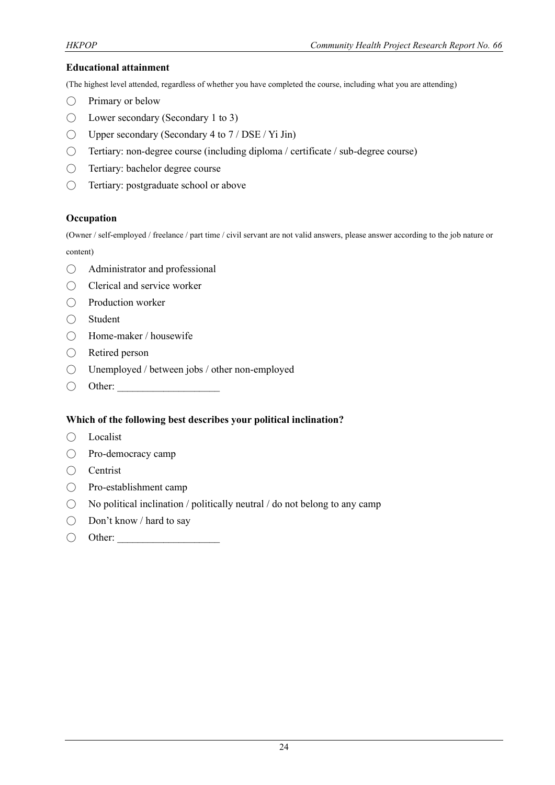#### **Educational attainment**

(The highest level attended, regardless of whether you have completed the course, including what you are attending)

- $\bigcirc$  Primary or below
- $\bigcirc$  Lower secondary (Secondary 1 to 3)
- $\bigcirc$  Upper secondary (Secondary 4 to 7 / DSE / Yi Jin)
- Tertiary: non-degree course (including diploma / certificate / sub-degree course)
- Tertiary: bachelor degree course
- Tertiary: postgraduate school or above

#### **Occupation**

(Owner / self-employed / freelance / part time / civil servant are not valid answers, please answer according to the job nature or content)

- Administrator and professional
- Clerical and service worker
- Production worker
- Student
- Home-maker / housewife
- Retired person
- Unemployed / between jobs / other non-employed
- $\bigcirc$  Other:

#### **Which of the following best describes your political inclination?**

- Localist
- Pro-democracy camp
- Centrist
- Pro-establishment camp
- $\bigcirc$  No political inclination / politically neutral / do not belong to any camp
- Don't know / hard to say
- $\bigcirc$  Other: